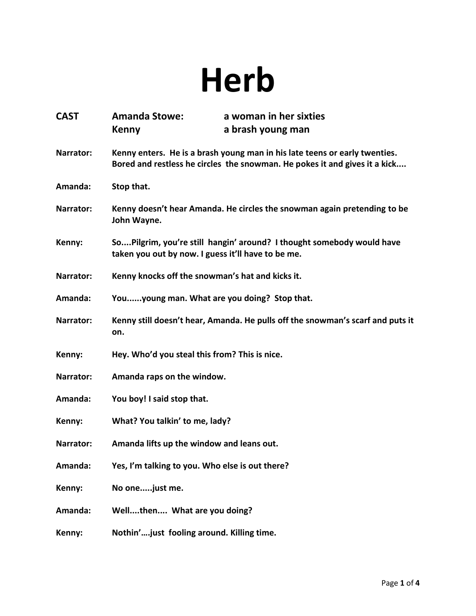## **Herb**

| <b>CAST</b> | <b>Amanda Stowe:</b>                                                                                                                                     | a woman in her sixties                                                         |
|-------------|----------------------------------------------------------------------------------------------------------------------------------------------------------|--------------------------------------------------------------------------------|
|             | <b>Kenny</b>                                                                                                                                             | a brash young man                                                              |
| Narrator:   | Kenny enters. He is a brash young man in his late teens or early twenties.<br>Bored and restless he circles the snowman. He pokes it and gives it a kick |                                                                                |
| Amanda:     | Stop that.                                                                                                                                               |                                                                                |
| Narrator:   | John Wayne.                                                                                                                                              | Kenny doesn't hear Amanda. He circles the snowman again pretending to be       |
| Kenny:      | taken you out by now. I guess it'll have to be me.                                                                                                       | SoPilgrim, you're still hangin' around? I thought somebody would have          |
| Narrator:   | Kenny knocks off the snowman's hat and kicks it.                                                                                                         |                                                                                |
| Amanda:     | Youyoung man. What are you doing? Stop that.                                                                                                             |                                                                                |
| Narrator:   | on.                                                                                                                                                      | Kenny still doesn't hear, Amanda. He pulls off the snowman's scarf and puts it |
| Kenny:      | Hey. Who'd you steal this from? This is nice.                                                                                                            |                                                                                |
| Narrator:   | Amanda raps on the window.                                                                                                                               |                                                                                |
| Amanda:     | You boy! I said stop that.                                                                                                                               |                                                                                |
| Kenny:      | What? You talkin' to me, lady?                                                                                                                           |                                                                                |
| Narrator:   | Amanda lifts up the window and leans out.                                                                                                                |                                                                                |
| Amanda:     | Yes, I'm talking to you. Who else is out there?                                                                                                          |                                                                                |
| Kenny:      | No onejust me.                                                                                                                                           |                                                                                |
| Amanda:     | Wellthen What are you doing?                                                                                                                             |                                                                                |
| Kenny:      | Nothin'just fooling around. Killing time.                                                                                                                |                                                                                |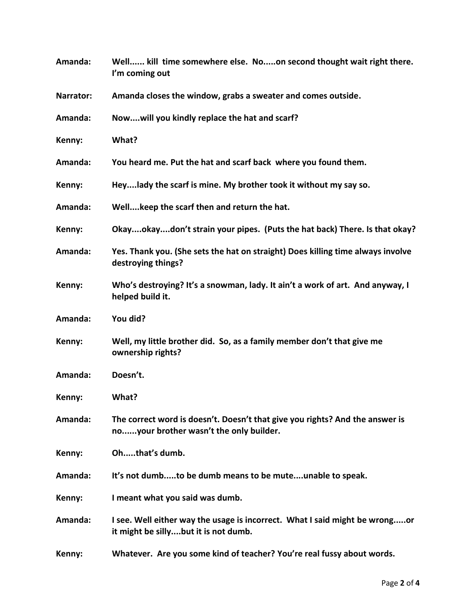| Amanda:   | Well kill time somewhere else. Noon second thought wait right there.<br>I'm coming out                                  |  |
|-----------|-------------------------------------------------------------------------------------------------------------------------|--|
| Narrator: | Amanda closes the window, grabs a sweater and comes outside.                                                            |  |
| Amanda:   | Nowwill you kindly replace the hat and scarf?                                                                           |  |
| Kenny:    | What?                                                                                                                   |  |
| Amanda:   | You heard me. Put the hat and scarf back where you found them.                                                          |  |
| Kenny:    | Heylady the scarf is mine. My brother took it without my say so.                                                        |  |
| Amanda:   | Wellkeep the scarf then and return the hat.                                                                             |  |
| Kenny:    | Okayokaydon't strain your pipes. (Puts the hat back) There. Is that okay?                                               |  |
| Amanda:   | Yes. Thank you. (She sets the hat on straight) Does killing time always involve<br>destroying things?                   |  |
| Kenny:    | Who's destroying? It's a snowman, lady. It ain't a work of art. And anyway, I<br>helped build it.                       |  |
| Amanda:   | You did?                                                                                                                |  |
| Kenny:    | Well, my little brother did. So, as a family member don't that give me<br>ownership rights?                             |  |
| Amanda:   | Doesn't.                                                                                                                |  |
| Kenny:    | What?                                                                                                                   |  |
| Amanda:   | The correct word is doesn't. Doesn't that give you rights? And the answer is<br>noyour brother wasn't the only builder. |  |
| Kenny:    | Ohthat's dumb.                                                                                                          |  |
| Amanda:   | It's not dumbto be dumb means to be muteunable to speak.                                                                |  |
| Kenny:    | I meant what you said was dumb.                                                                                         |  |
| Amanda:   | I see. Well either way the usage is incorrect. What I said might be wrongor<br>it might be sillybut it is not dumb.     |  |
| Kenny:    | Whatever. Are you some kind of teacher? You're real fussy about words.                                                  |  |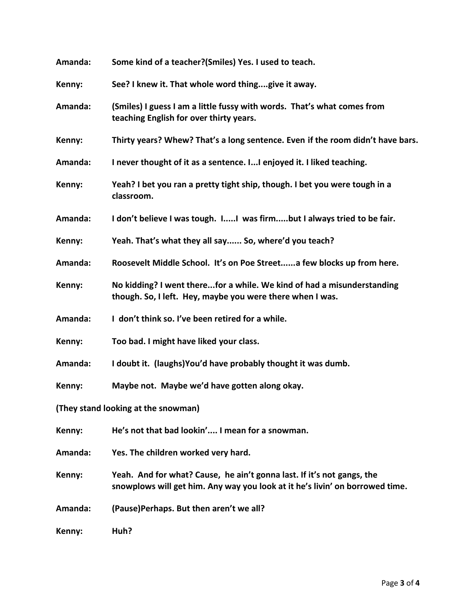| Amanda:                             | Some kind of a teacher?(Smiles) Yes. I used to teach.                                                                                                  |  |
|-------------------------------------|--------------------------------------------------------------------------------------------------------------------------------------------------------|--|
| Kenny:                              | See? I knew it. That whole word thinggive it away.                                                                                                     |  |
| Amanda:                             | (Smiles) I guess I am a little fussy with words. That's what comes from<br>teaching English for over thirty years.                                     |  |
| Kenny:                              | Thirty years? Whew? That's a long sentence. Even if the room didn't have bars.                                                                         |  |
| Amanda:                             | I never thought of it as a sentence. I I enjoyed it. I liked teaching.                                                                                 |  |
| Kenny:                              | Yeah? I bet you ran a pretty tight ship, though. I bet you were tough in a<br>classroom.                                                               |  |
| Amanda:                             | I don't believe I was tough. II was firmbut I always tried to be fair.                                                                                 |  |
| Kenny:                              | Yeah. That's what they all say So, where'd you teach?                                                                                                  |  |
| Amanda:                             | Roosevelt Middle School. It's on Poe Streeta few blocks up from here.                                                                                  |  |
| Kenny:                              | No kidding? I went therefor a while. We kind of had a misunderstanding<br>though. So, I left. Hey, maybe you were there when I was.                    |  |
| Amanda:                             | I don't think so. I've been retired for a while.                                                                                                       |  |
| Kenny:                              | Too bad. I might have liked your class.                                                                                                                |  |
| Amanda:                             | I doubt it. (laughs) You'd have probably thought it was dumb.                                                                                          |  |
| Kenny:                              | Maybe not. Maybe we'd have gotten along okay.                                                                                                          |  |
| (They stand looking at the snowman) |                                                                                                                                                        |  |
| Kenny:                              | He's not that bad lookin' I mean for a snowman.                                                                                                        |  |
| Amanda:                             | Yes. The children worked very hard.                                                                                                                    |  |
| Kenny:                              | Yeah. And for what? Cause, he ain't gonna last. If it's not gangs, the<br>snowplows will get him. Any way you look at it he's livin' on borrowed time. |  |
| Amanda:                             | (Pause)Perhaps. But then aren't we all?                                                                                                                |  |
| Kenny:                              | Huh?                                                                                                                                                   |  |